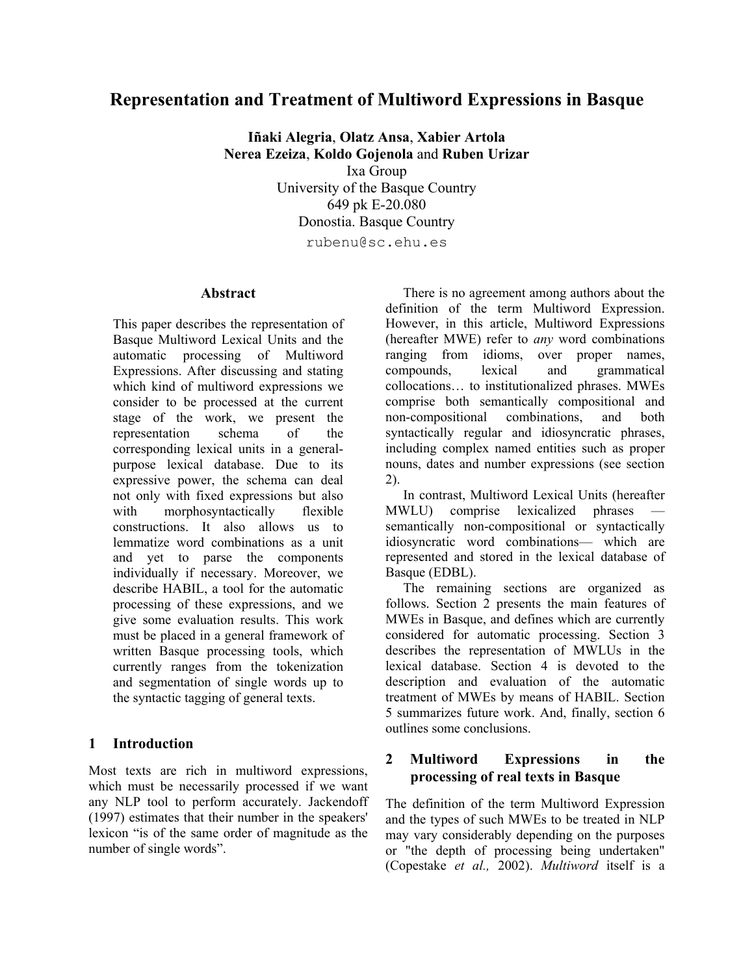# **Representation and Treatment of Multiword Expressions in Basque**

**Iñaki Alegria**, **Olatz Ansa**, **Xabier Artola Nerea Ezeiza**, **Koldo Gojenola** and **Ruben Urizar**  Ixa Group University of the Basque Country 649 pk E-20.080 Donostia. Basque Country rubenu@sc.ehu.es

### **Abstract**

This paper describes the representation of Basque Multiword Lexical Units and the automatic processing of Multiword Expressions. After discussing and stating which kind of multiword expressions we consider to be processed at the current stage of the work, we present the representation schema of the corresponding lexical units in a generalpurpose lexical database. Due to its expressive power, the schema can deal not only with fixed expressions but also with morphosyntactically flexible constructions. It also allows us to lemmatize word combinations as a unit and yet to parse the components individually if necessary. Moreover, we describe HABIL, a tool for the automatic processing of these expressions, and we give some evaluation results. This work must be placed in a general framework of written Basque processing tools, which currently ranges from the tokenization and segmentation of single words up to the syntactic tagging of general texts.

## **1 Introduction**

Most texts are rich in multiword expressions, which must be necessarily processed if we want any NLP tool to perform accurately. Jackendoff (1997) estimates that their number in the speakers' lexicon "is of the same order of magnitude as the number of single words".

There is no agreement among authors about the definition of the term Multiword Expression. However, in this article, Multiword Expressions (hereafter MWE) refer to *any* word combinations ranging from idioms, over proper names, compounds, lexical and grammatical collocations… to institutionalized phrases. MWEs comprise both semantically compositional and non-compositional combinations, and both syntactically regular and idiosyncratic phrases, including complex named entities such as proper nouns, dates and number expressions (see section [2\)](#page-0-0).

In contrast, Multiword Lexical Units (hereafter MWLU) comprise lexicalized phrases semantically non-compositional or syntactically idiosyncratic word combinations— which are represented and stored in the lexical database of Basque (EDBL).

The remaining sections are organized as follows. Section [2](#page-0-0) presents the main features of MWEs in Basque, and defines which are currently considered for automatic processing. Section [3](#page-1-0)  describes the representation of MWLUs in the lexical database. Section [4](#page-4-0) is devoted to the description and evaluation of the automatic treatment of MWEs by means of HABIL. Section [5](#page-5-0) summarizes future work. And, finally, section [6](#page-6-0)  outlines some conclusions.

### <span id="page-0-0"></span>**2 Multiword Expressions in the processing of real texts in Basque**

The definition of the term Multiword Expression and the types of such MWEs to be treated in NLP may vary considerably depending on the purposes or "the depth of processing being undertaken" (Copestake *et al.,* 2002). *Multiword* itself is a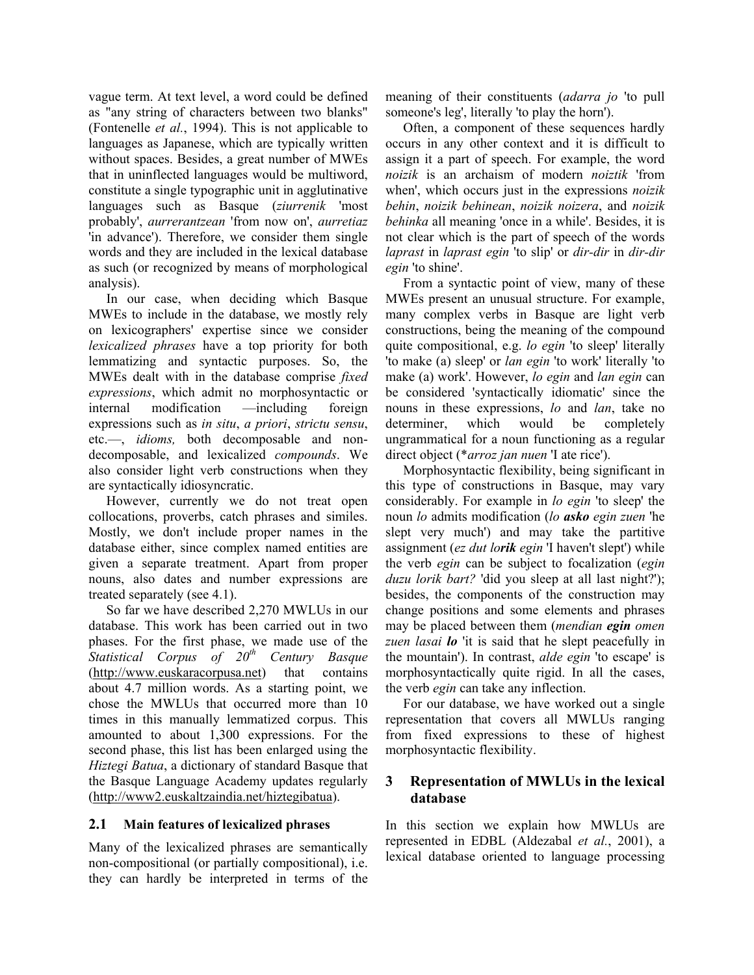vague term. At text level, a word could be defined as "any string of characters between two blanks" (Fontenelle *et al.*, 1994). This is not applicable to languages as Japanese, which are typically written without spaces. Besides, a great number of MWEs that in uninflected languages would be multiword, constitute a single typographic unit in agglutinative languages such as Basque (*ziurrenik* 'most probably', *aurrerantzean* 'from now on', *aurretiaz* 'in advance'). Therefore, we consider them single words and they are included in the lexical database as such (or recognized by means of morphological analysis).

In our case, when deciding which Basque MWEs to include in the database, we mostly rely on lexicographers' expertise since we consider *lexicalized phrases* have a top priority for both lemmatizing and syntactic purposes. So, the MWEs dealt with in the database comprise *fixed expressions*, which admit no morphosyntactic or internal modification —including foreign expressions such as *in situ*, *a priori*, *strictu sensu*, etc.—, *idioms,* both decomposable and nondecomposable, and lexicalized *compounds*. We also consider light verb constructions when they are syntactically idiosyncratic.

However, currently we do not treat open collocations, proverbs, catch phrases and similes. Mostly, we don't include proper names in the database either, since complex named entities are given a separate treatment. Apart from proper nouns, also dates and number expressions are treated separately (see [4.1\)](#page-4-1).

So far we have described 2,270 MWLUs in our database. This work has been carried out in two phases. For the first phase, we made use of the *Statistical Corpus of 20<sup>th</sup> Century Basque* ([http://www.euskaracorpusa.net](http://www.euskaracorpusa.net/)) that contains about 4.7 million words. As a starting point, we chose the MWLUs that occurred more than 10 times in this manually lemmatized corpus. This amounted to about 1,300 expressions. For the second phase, this list has been enlarged using the *Hiztegi Batua*, a dictionary of standard Basque that the Basque Language Academy updates regularly ([http://www2.euskaltzaindia.net/hiztegibatua\)](http://www2.euskaltzaindia.net/hiztegibatua).

#### **2.1 Main features of lexicalized phrases**

Many of the lexicalized phrases are semantically non-compositional (or partially compositional), i.e. they can hardly be interpreted in terms of the meaning of their constituents (*adarra jo* 'to pull someone's leg', literally 'to play the horn').

Often, a component of these sequences hardly occurs in any other context and it is difficult to assign it a part of speech. For example, the word *noizik* is an archaism of modern *noiztik* 'from when', which occurs just in the expressions *noizik behin*, *noizik behinean*, *noizik noizera*, and *noizik behinka* all meaning 'once in a while'. Besides, it is not clear which is the part of speech of the words *laprast* in *laprast egin* 'to slip' or *dir-dir* in *dir-dir egin* 'to shine'.

From a syntactic point of view, many of these MWEs present an unusual structure. For example, many complex verbs in Basque are light verb constructions, being the meaning of the compound quite compositional, e.g. *lo egin* 'to sleep' literally 'to make (a) sleep' or *lan egin* 'to work' literally 'to make (a) work'. However, *lo egin* and *lan egin* can be considered 'syntactically idiomatic' since the nouns in these expressions, *lo* and *lan*, take no determiner, which would be completely ungrammatical for a noun functioning as a regular direct object (\**arroz jan nuen* 'I ate rice').

Morphosyntactic flexibility, being significant in this type of constructions in Basque, may vary considerably. For example in *lo egin* 'to sleep' the noun *lo* admits modification (*lo asko egin zuen* 'he slept very much') and may take the partitive assignment (*ez dut lorik egin* 'I haven't slept') while the verb *egin* can be subject to focalization (*egin duzu lorik bart?* 'did you sleep at all last night?'); besides, the components of the construction may change positions and some elements and phrases may be placed between them (*mendian egin omen zuen lasai lo* 'it is said that he slept peacefully in the mountain'). In contrast, *alde egin* 'to escape' is morphosyntactically quite rigid. In all the cases, the verb *egin* can take any inflection.

For our database, we have worked out a single representation that covers all MWLUs ranging from fixed expressions to these of highest morphosyntactic flexibility.

### <span id="page-1-0"></span>**3 Representation of MWLUs in the lexical database**

In this section we explain how MWLUs are represented in EDBL (Aldezabal *et al.*, 2001), a lexical database oriented to language processing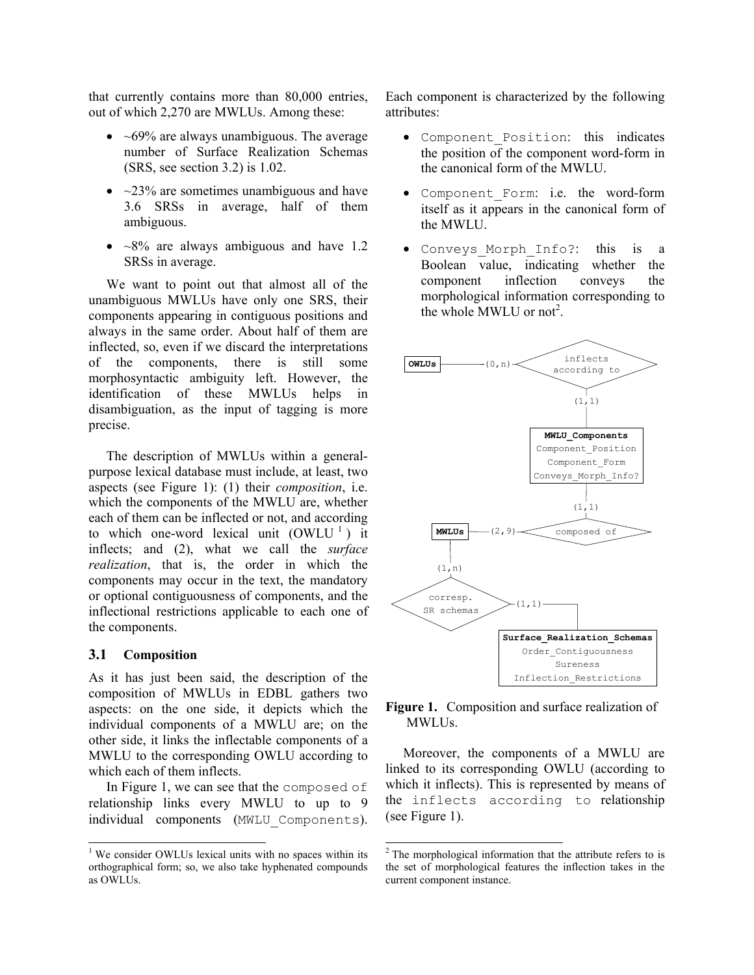that currently contains more than 80,000 entries, out of which 2,270 are MWLUs. Among these:

- $\bullet$  ~69% are always unambiguous. The average number of Surface Realization Schemas (SRS, see section [3.2\)](#page-3-0) is 1.02.
- $\sim$ 23% are sometimes unambiguous and have 3.6 SRSs in average, half of them ambiguous.
- $\sim$ 8% are always ambiguous and have 1.2 SRSs in average.

We want to point out that almost all of the unambiguous MWLUs have only one SRS, their components appearing in contiguous positions and always in the same order. About half of them are inflected, so, even if we discard the interpretations of the components, there is still some morphosyntactic ambiguity left. However, the identification of these MWLUs helps in disambiguation, as the input of tagging is more precise.

The description of MWLUs within a generalpurpose lexical database must include, at least, two aspects (see [Figure 1\)](#page-2-0): (1) their *composition*, i.e. which the components of the MWLU are, whether each of them can be inflected or not, and according to which one-word lexical unit  $(OWLU^1)$  $(OWLU^1)$  $(OWLU^1)$  it inflects; and (2), what we call the *surface realization*, that is, the order in which the components may occur in the text, the mandatory or optional contiguousness of components, and the inflectional restrictions applicable to each one of the components.

#### **3.1 Composition**

 $\overline{a}$ 

As it has just been said, the description of the composition of MWLUs in EDBL gathers two aspects: on the one side, it depicts which the individual components of a MWLU are; on the other side, it links the inflectable components of a MWLU to the corresponding OWLU according to which each of them inflects.

In [Figure 1,](#page-2-0) we can see that the composed of relationship links every MWLU to up to 9 individual components (MWLU\_Components). Each component is characterized by the following attributes:

- Component\_Position: this indicates the position of the component word-form in the canonical form of the MWLU.
- Component\_Form: i.e. the word-form itself as it appears in the canonical form of the MWLU.
- Conveys\_Morph\_Info?: this is a Boolean value, indicating whether the component inflection conveys the morphological information corresponding to the whole MWLU or not<sup>[2](#page-2-2)</sup>.



### <span id="page-2-0"></span>**Figure 1.** Composition and surface realization of MWLUs.

Moreover, the components of a MWLU are linked to its corresponding OWLU (according to which it inflects). This is represented by means of the inflects according to relationship (see [Figure 1\)](#page-2-0).

<span id="page-2-1"></span><sup>&</sup>lt;sup>1</sup> We consider OWLUs lexical units with no spaces within its orthographical form; so, we also take hyphenated compounds as OWLUs.

<span id="page-2-2"></span><sup>&</sup>lt;sup>2</sup> The morphological information that the attribute refers to is the set of morphological features the inflection takes in the current component instance.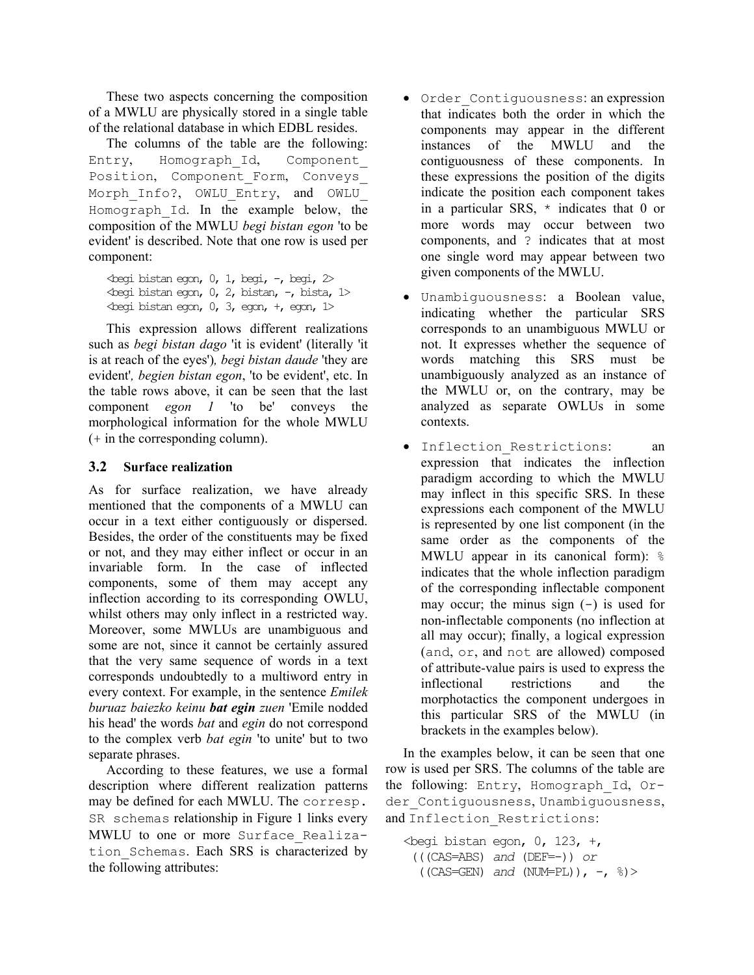These two aspects concerning the composition of a MWLU are physically stored in a single table of the relational database in which EDBL resides.

The columns of the table are the following: Entry, Homograph\_Id, Component\_ Position, Component\_Form, Conveys\_ Morph Info?, OWLU Entry, and OWLU Homograph\_Id. In the example below, the composition of the MWLU *begi bistan egon* 'to be evident' is described. Note that one row is used per component:

 $\epsilon$ begi bistan egon, 0, 1, begi, -, begi, 2>  $\epsilon$ begi bistan egon, 0, 2, bistan, -, bista, 1>  $\epsilon$ begi bistan egon, 0, 3, egon, +, egon, 1>

This expression allows different realizations such as *begi bistan dago* 'it is evident' (literally 'it is at reach of the eyes')*, begi bistan daude* 'they are evident'*, begien bistan egon*, 'to be evident', etc. In the table rows above, it can be seen that the last component *egon 1* 'to be' conveys the morphological information for the whole MWLU (+ in the corresponding column).

## <span id="page-3-0"></span>**3.2 Surface realization**

As for surface realization, we have already mentioned that the components of a MWLU can occur in a text either contiguously or dispersed. Besides, the order of the constituents may be fixed or not, and they may either inflect or occur in an invariable form. In the case of inflected components, some of them may accept any inflection according to its corresponding OWLU, whilst others may only inflect in a restricted way. Moreover, some MWLUs are unambiguous and some are not, since it cannot be certainly assured that the very same sequence of words in a text corresponds undoubtedly to a multiword entry in every context. For example, in the sentence *Emilek buruaz baiezko keinu bat egin zuen* 'Emile nodded his head' the words *bat* and *egin* do not correspond to the complex verb *bat egin* 'to unite' but to two separate phrases.

According to these features, we use a formal description where different realization patterns may be defined for each MWLU. The corresp. SR schemas relationship in [Figure 1](#page-2-0) links every MWLU to one or more Surface Realization\_Schemas. Each SRS is characterized by the following attributes:

- Order\_Contiguousness: an expression that indicates both the order in which the components may appear in the different instances of the MWLU and the contiguousness of these components. In these expressions the position of the digits indicate the position each component takes in a particular SRS,  $*$  indicates that 0 or more words may occur between two components, and ? indicates that at most one single word may appear between two given components of the MWLU.
- Unambiguousness: a Boolean value, indicating whether the particular SRS corresponds to an unambiguous MWLU or not. It expresses whether the sequence of words matching this SRS must be unambiguously analyzed as an instance of the MWLU or, on the contrary, may be analyzed as separate OWLUs in some contexts.
- Inflection\_Restrictions: an expression that indicates the inflection paradigm according to which the MWLU may inflect in this specific SRS. In these expressions each component of the MWLU is represented by one list component (in the same order as the components of the MWLU appear in its canonical form):  $\frac{1}{6}$ indicates that the whole inflection paradigm of the corresponding inflectable component may occur; the minus sign  $(-)$  is used for non-inflectable components (no inflection at all may occur); finally, a logical expression (and, or, and not are allowed) composed of attribute-value pairs is used to express the inflectional restrictions and the morphotactics the component undergoes in this particular SRS of the MWLU (in brackets in the examples below).

In the examples below, it can be seen that one row is used per SRS. The columns of the table are the following: Entry, Homograph\_Id, Order Contiguousness, Unambiguousness, and Inflection Restrictions:

 $\epsilon$ begi bistan egon, 0, 123, +, (((CAS=ABS) *and* (DEF=-)) *or*  $((CAS = GEN)$  *and*  $(NUM = PL))$ ,  $-$ ,  $\frac{1}{6}$ )>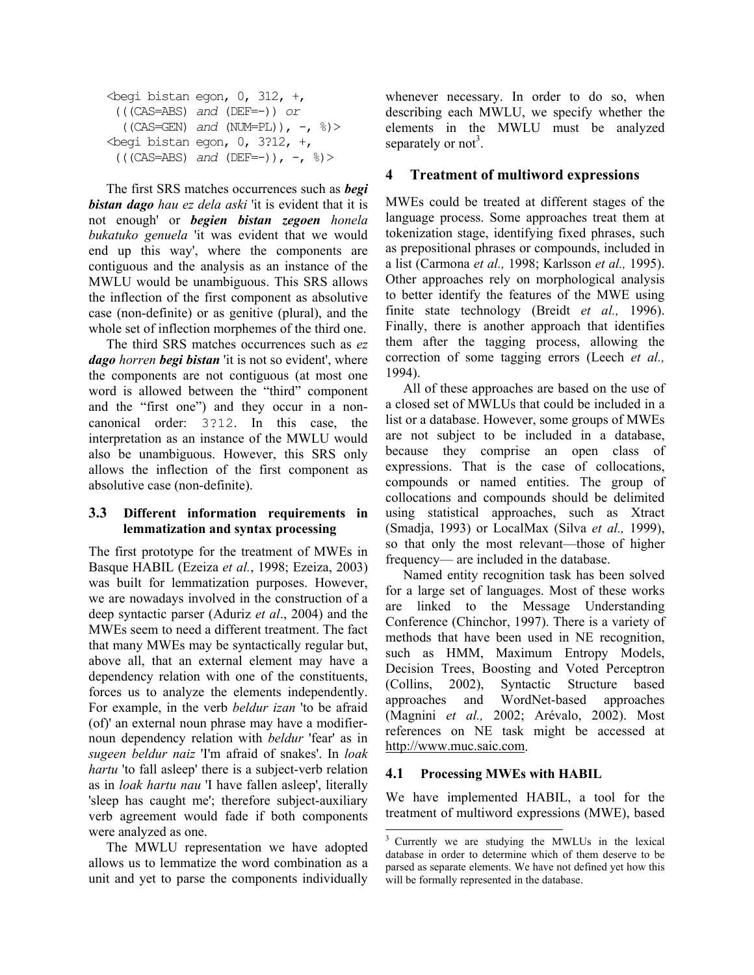```
\epsilonbegi bistan egon, 0, 312, +,
   (((CAS=ABS) and (DEF=-)) or 
   ((\text{CAS}=\text{GEN}) and (\text{NUM=PL})), -, \frac{1}{6})>
\epsilonbegi bistan egon, 0, 3?12, +,
 ((\text{CAS=ABS}) and (\text{DEF}=-)), -, \frac{8}{5}) >
```
The first SRS matches occurrences such as *begi bistan dago hau ez dela aski* 'it is evident that it is not enough' or *begien bistan zegoen honela bukatuko genuela* 'it was evident that we would end up this way', where the components are contiguous and the analysis as an instance of the MWLU would be unambiguous. This SRS allows the inflection of the first component as absolutive case (non-definite) or as genitive (plural), and the whole set of inflection morphemes of the third one.

The third SRS matches occurrences such as *ez dago horren begi bistan* 'it is not so evident', where the components are not contiguous (at most one word is allowed between the "third" component and the "first one") and they occur in a noncanonical order: 3?12. In this case, the interpretation as an instance of the MWLU would also be unambiguous. However, this SRS only allows the inflection of the first component as absolutive case (non-definite).

### **3.3 Different information requirements in lemmatization and syntax processing**

The first prototype for the treatment of MWEs in Basque HABIL (Ezeiza *et al.*, 1998; Ezeiza, 2003) was built for lemmatization purposes. However, we are nowadays involved in the construction of a deep syntactic parser (Aduriz *et al*., 2004) and the MWEs seem to need a different treatment. The fact that many MWEs may be syntactically regular but, above all, that an external element may have a dependency relation with one of the constituents, forces us to analyze the elements independently. For example, in the verb *beldur izan* 'to be afraid (of)' an external noun phrase may have a modifiernoun dependency relation with *beldur* 'fear' as in *sugeen beldur naiz* 'I'm afraid of snakes'. In *loak hartu* 'to fall asleep' there is a subject-verb relation as in *loak hartu nau* 'I have fallen asleep', literally 'sleep has caught me'; therefore subject-auxiliary verb agreement would fade if both components were analyzed as one.

The MWLU representation we have adopted allows us to lemmatize the word combination as a unit and yet to parse the components individually

whenever necessary. In order to do so, when describing each MWLU, we specify whether the elements in the MWLU must be analyzed separately or not<sup>[3](#page-4-2)</sup>.

### <span id="page-4-0"></span>**4 Treatment of multiword expressions**

MWEs could be treated at different stages of the language process. Some approaches treat them at tokenization stage, identifying fixed phrases, such as prepositional phrases or compounds, included in a list (Carmona *et al.,* 1998; Karlsson *et al.,* 1995). Other approaches rely on morphological analysis to better identify the features of the MWE using finite state technology (Breidt *et al.,* 1996). Finally, there is another approach that identifies them after the tagging process, allowing the correction of some tagging errors (Leech *et al.,* 1994).

All of these approaches are based on the use of a closed set of MWLUs that could be included in a list or a database. However, some groups of MWEs are not subject to be included in a database, because they comprise an open class of expressions. That is the case of collocations, compounds or named entities. The group of collocations and compounds should be delimited using statistical approaches, such as Xtract (Smadja, 1993) or LocalMax (Silva *et al.,* 1999), so that only the most relevant—those of higher frequency— are included in the database.

Named entity recognition task has been solved for a large set of languages. Most of these works are linked to the Message Understanding Conference (Chinchor, 1997). There is a variety of methods that have been used in NE recognition, such as HMM, Maximum Entropy Models, Decision Trees, Boosting and Voted Perceptron (Collins, 2002), Syntactic Structure based approaches and WordNet-based approaches (Magnini *et al.,* 2002; Arévalo, 2002). Most references on NE task might be accessed at http://www.muc.saic.com.

### <span id="page-4-1"></span>**4.1 Processing MWEs with HABIL**

We have implemented HABIL, a tool for the treatment of multiword expressions (MWE), based

<span id="page-4-2"></span> $\overline{a}$ Currently we are studying the MWLUs in the lexical database in order to determine which of them deserve to be parsed as separate elements. We have not defined yet how this will be formally represented in the database.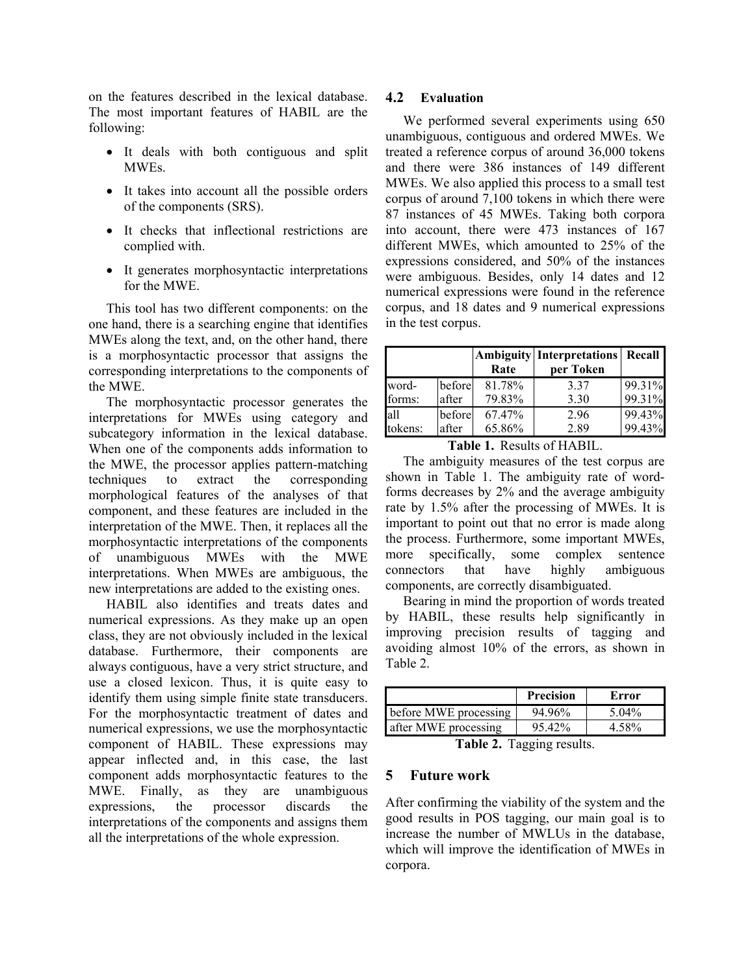on the features described in the lexical database. The most important features of HABIL are the following:

- It deals with both contiguous and split MWEs.
- It takes into account all the possible orders of the components (SRS).
- It checks that inflectional restrictions are complied with.
- It generates morphosyntactic interpretations for the MWE.

This tool has two different components: on the one hand, there is a searching engine that identifies MWEs along the text, and, on the other hand, there is a morphosyntactic processor that assigns the corresponding interpretations to the components of the MWE.

The morphosyntactic processor generates the interpretations for MWEs using category and subcategory information in the lexical database. When one of the components adds information to the MWE, the processor applies pattern-matching techniques to extract the corresponding morphological features of the analyses of that component, and these features are included in the interpretation of the MWE. Then, it replaces all the morphosyntactic interpretations of the components of unambiguous MWEs with the MWE interpretations. When MWEs are ambiguous, the new interpretations are added to the existing ones.

HABIL also identifies and treats dates and numerical expressions. As they make up an open class, they are not obviously included in the lexical database. Furthermore, their components are always contiguous, have a very strict structure, and use a closed lexicon. Thus, it is quite easy to identify them using simple finite state transducers. For the morphosyntactic treatment of dates and numerical expressions, we use the morphosyntactic component of HABIL. These expressions may appear inflected and, in this case, the last component adds morphosyntactic features to the MWE. Finally, as they are unambiguous expressions, the processor discards the interpretations of the components and assigns them all the interpretations of the whole expression.

### **4.2 Evaluation**

We performed several experiments using 650 unambiguous, contiguous and ordered MWEs. We treated a reference corpus of around 36,000 tokens and there were 386 instances of 149 different MWEs. We also applied this process to a small test corpus of around 7,100 tokens in which there were 87 instances of 45 MWEs. Taking both corpora into account, there were 473 instances of 167 different MWEs, which amounted to 25% of the expressions considered, and 50% of the instances were ambiguous. Besides, only 14 dates and 12 numerical expressions were found in the reference corpus, and 18 dates and 9 numerical expressions in the test corpus.

|         |        | Rate   | <b>Ambiguity Interpretations Recall</b><br>per Token |        |
|---------|--------|--------|------------------------------------------------------|--------|
| word-   | before | 81.78% | 3.37                                                 | 99.31% |
| forms:  | after  | 79.83% | 3.30                                                 | 99.31% |
| all     | before | 67.47% | 2.96                                                 | 99.43% |
| tokens: | after  | 65.86% | 2.89                                                 | 99.43% |

<span id="page-5-1"></span>**Table 1.** Results of HABIL.

The ambiguity measures of the test corpus are shown in [Table 1.](#page-5-1) The ambiguity rate of wordforms decreases by 2% and the average ambiguity rate by 1.5% after the processing of MWEs. It is important to point out that no error is made along the process. Furthermore, some important MWEs, more specifically, some complex sentence connectors that have highly ambiguous components, are correctly disambiguated.

Bearing in mind the proportion of words treated by HABIL, these results help significantly in improving precision results of tagging and avoiding almost 10% of the errors, as shown in [Table 2.](#page-5-2)

|                       | <b>Precision</b> | Error  |
|-----------------------|------------------|--------|
| before MWE processing | 94.96%           | 5.04\% |
| after MWE processing  | $95.42\%$        |        |

<span id="page-5-2"></span>**Table 2.** Tagging results.

## <span id="page-5-0"></span>**5 Future work**

After confirming the viability of the system and the good results in POS tagging, our main goal is to increase the number of MWLUs in the database, which will improve the identification of MWEs in corpora.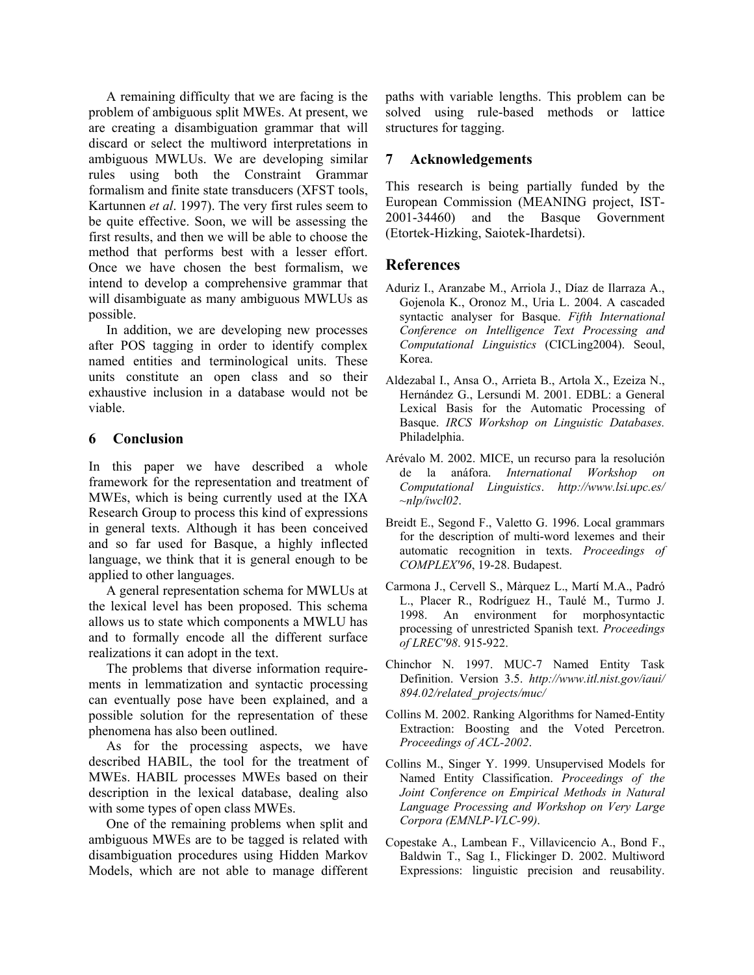A remaining difficulty that we are facing is the problem of ambiguous split MWEs. At present, we are creating a disambiguation grammar that will discard or select the multiword interpretations in ambiguous MWLUs. We are developing similar rules using both the Constraint Grammar formalism and finite state transducers (XFST tools, Kartunnen *et al*. 1997). The very first rules seem to be quite effective. Soon, we will be assessing the first results, and then we will be able to choose the method that performs best with a lesser effort. Once we have chosen the best formalism, we intend to develop a comprehensive grammar that will disambiguate as many ambiguous MWLUs as possible.

In addition, we are developing new processes after POS tagging in order to identify complex named entities and terminological units. These units constitute an open class and so their exhaustive inclusion in a database would not be viable.

## <span id="page-6-0"></span>**6 Conclusion**

In this paper we have described a whole framework for the representation and treatment of MWEs, which is being currently used at the IXA Research Group to process this kind of expressions in general texts. Although it has been conceived and so far used for Basque, a highly inflected language, we think that it is general enough to be applied to other languages.

A general representation schema for MWLUs at the lexical level has been proposed. This schema allows us to state which components a MWLU has and to formally encode all the different surface realizations it can adopt in the text.

The problems that diverse information requirements in lemmatization and syntactic processing can eventually pose have been explained, and a possible solution for the representation of these phenomena has also been outlined.

As for the processing aspects, we have described HABIL, the tool for the treatment of MWEs. HABIL processes MWEs based on their description in the lexical database, dealing also with some types of open class MWEs.

One of the remaining problems when split and ambiguous MWEs are to be tagged is related with disambiguation procedures using Hidden Markov Models, which are not able to manage different paths with variable lengths. This problem can be solved using rule-based methods or lattice structures for tagging.

#### **7 Acknowledgements**

This research is being partially funded by the European Commission (MEANING project, IST-2001-34460) and the Basque Government (Etortek-Hizking, Saiotek-Ihardetsi).

## **References**

- Aduriz I., Aranzabe M., Arriola J., Díaz de Ilarraza A., Gojenola K., Oronoz M., Uria L. 2004. A cascaded syntactic analyser for Basque. *Fifth International Conference on Intelligence Text Processing and Computational Linguistics* (CICLing2004). Seoul, Korea.
- Aldezabal I., Ansa O., Arrieta B., Artola X., Ezeiza N., Hernández G., Lersundi M. 2001. EDBL: a General Lexical Basis for the Automatic Processing of Basque. *IRCS Workshop on Linguistic Databases.* Philadelphia.
- Arévalo M. 2002. MICE, un recurso para la resolución de la anáfora. *International Workshop on Computational Linguistics*. *http://www.lsi.upc.es/ ~nlp/iwcl02*.
- Breidt E., Segond F., Valetto G. 1996. Local grammars for the description of multi-word lexemes and their automatic recognition in texts. *Proceedings of COMPLEX'96*, 19-28. Budapest.
- Carmona J., Cervell S., Màrquez L., Martí M.A., Padró L., Placer R., Rodríguez H., Taulé M., Turmo J. 1998. An environment for morphosyntactic processing of unrestricted Spanish text. *Proceedings of LREC'98*. 915-922.
- Chinchor N. 1997. MUC-7 Named Entity Task Definition. Version 3.5. *http://www.itl.nist.gov/iaui/ 894.02/related\_projects/muc/*
- Collins M. 2002. Ranking Algorithms for Named-Entity Extraction: Boosting and the Voted Percetron. *Proceedings of ACL-2002*.
- Collins M., Singer Y. 1999. Unsupervised Models for Named Entity Classification. *Proceedings of the Joint Conference on Empirical Methods in Natural Language Processing and Workshop on Very Large Corpora (EMNLP-VLC-99)*.
- Copestake A., Lambean F., Villavicencio A., Bond F., Baldwin T., Sag I., Flickinger D. 2002. Multiword Expressions: linguistic precision and reusability.